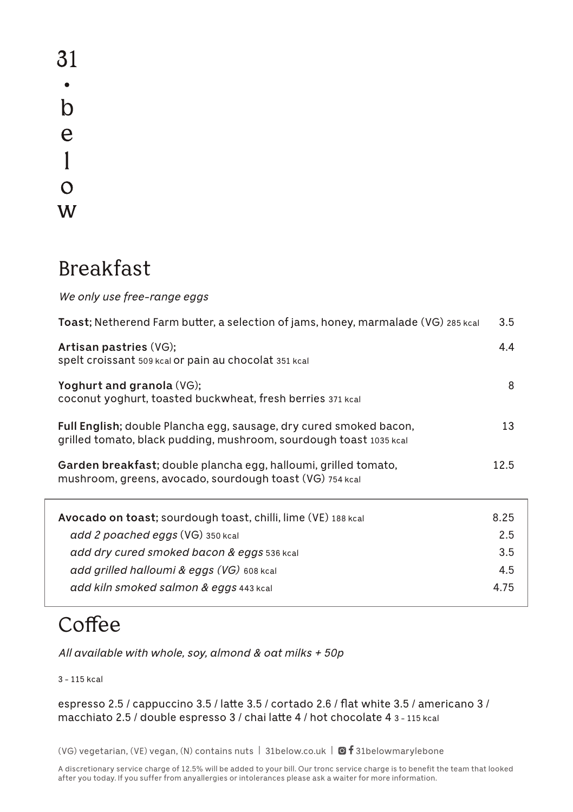31  $\bullet$  $\mathbf b$  $\mathbf e$  $\mathbf{1}$  $\Omega$ W

#### Breakfast

*We only use free-range eggs*

| <b>Toast;</b> Netherend Farm butter, a selection of jams, honey, marmalade (VG) 285 kcal                                                 | 3.5  |
|------------------------------------------------------------------------------------------------------------------------------------------|------|
| Artisan pastries (VG);<br>spelt croissant 509 kcal or pain au chocolat 351 kcal                                                          | 4.4  |
| Yoghurt and granola (VG);<br>coconut yoghurt, toasted buckwheat, fresh berries 371 kcal                                                  | 8    |
| Full English; double Plancha egg, sausage, dry cured smoked bacon,<br>grilled tomato, black pudding, mushroom, sourdough toast 1035 kcal | 13   |
| Garden breakfast; double plancha egg, halloumi, grilled tomato,<br>mushroom, greens, avocado, sourdough toast (VG) 754 kcal              | 12.5 |
| <b>Avocado on toast;</b> sourdough toast, chilli, lime (VE) 188 kcal                                                                     | 8.25 |
| add 2 poached eggs (VG) 350 kcal                                                                                                         | 2.5  |
| add dry cured smoked bacon & eggs 536 kcal                                                                                               | 3.5  |
| add grilled halloumi & eggs (VG) 608 kcal                                                                                                | 4.5  |
| add kiln smoked salmon & eggs 443 kcal                                                                                                   | 4.75 |

# Coffee

*All available with whole, soy, almond & oat milks + 50p*

3 - 115 kcal

espresso 2.5 / cappuccino 3.5 / latte 3.5 / cortado 2.6 / flat white 3.5 / americano 3 / macchiato 2.5 / double espresso 3 / chai latte 4 / hot chocolate 4 3 - 115 kcal

(VG) vegetarian, (VE) vegan, (N) contains nuts | 31below.co.uk |  $\textcircled{f}$  31belowmarylebone

A discretionary service charge of 12.5% will be added to your bill. Our tronc service charge is to benefit the team that looked after you today. If you suffer from anyallergies or intolerances please ask a waiter for more information.